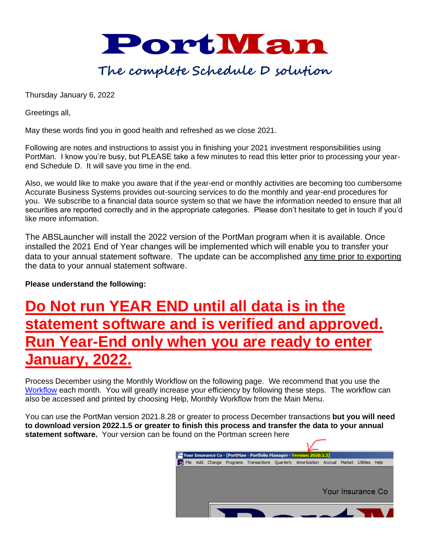

# **The complete Schedule D solution**

Thursday January 6, 2022

Greetings all,

May these words find you in good health and refreshed as we close 2021.

Following are notes and instructions to assist you in finishing your 2021 investment responsibilities using PortMan. I know you're busy, but PLEASE take a few minutes to read this letter prior to processing your yearend Schedule D. It will save you time in the end.

Also, we would like to make you aware that if the year-end or monthly activities are becoming too cumbersome Accurate Business Systems provides out-sourcing services to do the monthly and year-end procedures for you. We subscribe to a financial data source system so that we have the information needed to ensure that all securities are reported correctly and in the appropriate categories. Please don't hesitate to get in touch if you'd like more information.

The ABSLauncher will install the 2022 version of the PortMan program when it is available. Once installed the 2021 End of Year changes will be implemented which will enable you to transfer your data to your annual statement software. The update can be accomplished any time prior to exporting the data to your annual statement software.

**Please understand the following:**

# **Do Not run YEAR END until all data is in the statement software and is verified and approved. Year-End only when you are ready to enter January, 2022.**

Process December using the Monthly Workflow on the following page. We recommend that you use the [Workflow](https://www.portman-win.com/Downloads/Month-to-Month.pdf) each month. You will greatly increase your efficiency by following these steps. The workflow can also be accessed and printed by choosing Help, Monthly Workflow from the Main Menu.

You can use the PortMan version 2021.8.28 or greater to process December transactions **but you will need to download version 2022.1.5 or greater to finish this process and transfer the data to your annual statement software.** Your version can be found on the Portman screen here

| Your Insurance Co - [PortMan - Portfolio Manager - Version: 2020.1.3] |  |  |  |                                                                                       |  |  |  |  |                   |      |  |  |
|-----------------------------------------------------------------------|--|--|--|---------------------------------------------------------------------------------------|--|--|--|--|-------------------|------|--|--|
| æ                                                                     |  |  |  | File Add Change Programs Transactions Quarterly Amortization Accrual Market Utilities |  |  |  |  |                   | Help |  |  |
|                                                                       |  |  |  |                                                                                       |  |  |  |  |                   |      |  |  |
|                                                                       |  |  |  |                                                                                       |  |  |  |  |                   |      |  |  |
|                                                                       |  |  |  |                                                                                       |  |  |  |  |                   |      |  |  |
|                                                                       |  |  |  |                                                                                       |  |  |  |  | Your Insurance Co |      |  |  |
|                                                                       |  |  |  |                                                                                       |  |  |  |  |                   |      |  |  |
|                                                                       |  |  |  |                                                                                       |  |  |  |  |                   |      |  |  |
|                                                                       |  |  |  |                                                                                       |  |  |  |  |                   |      |  |  |
|                                                                       |  |  |  |                                                                                       |  |  |  |  |                   |      |  |  |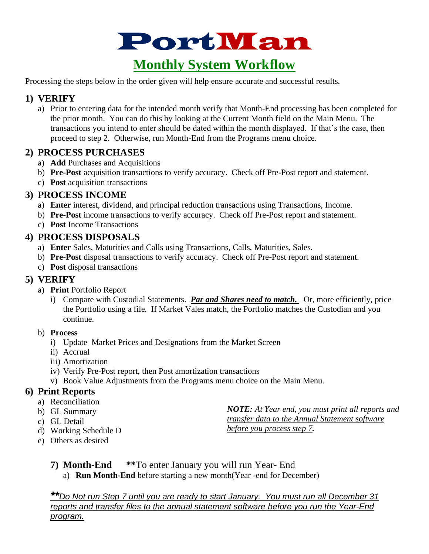

Processing the steps below in the order given will help ensure accurate and successful results.

# **1) VERIFY**

a) Prior to entering data for the intended month verify that Month-End processing has been completed for the prior month. You can do this by looking at the Current Month field on the Main Menu. The transactions you intend to enter should be dated within the month displayed. If that's the case, then proceed to step 2. Otherwise, run Month-End from the Programs menu choice.

## **2) PROCESS PURCHASES**

- a) **Add** Purchases and Acquisitions
- b) **Pre-Post** acquisition transactions to verify accuracy. Check off Pre-Post report and statement.
- c) **Post** acquisition transactions

## **3) PROCESS INCOME**

- a) **Enter** interest, dividend, and principal reduction transactions using Transactions, Income.
- b) **Pre-Post** income transactions to verify accuracy. Check off Pre-Post report and statement.
- c) **Post** Income Transactions

## **4) PROCESS DISPOSALS**

- a) **Enter** Sales, Maturities and Calls using Transactions, Calls, Maturities, Sales.
- b) **Pre-Post** disposal transactions to verify accuracy. Check off Pre-Post report and statement.
- c) **Post** disposal transactions

# **5) VERIFY**

- a) **Print** Portfolio Report
	- i) Compare with Custodial Statements. *Par and Shares need to match.* Or, more efficiently, price the Portfolio using a file. If Market Vales match, the Portfolio matches the Custodian and you continue.

### b) **Process**

- i) Update Market Prices and Designations from the Market Screen
- ii) Accrual
- iii) Amortization
- iv) Verify Pre-Post report, then Post amortization transactions
- v) Book Value Adjustments from the Programs menu choice on the Main Menu.

## **6) Print Reports**

- a) Reconciliation
- b) GL Summary
- c) GL Detail
- d) Working Schedule D
- e) Others as desired

*NOTE: At Year end, you must print all reports and transfer data to the Annual Statement software before you process step 7.*

- **7) Month-End \*\***To enter January you will run Year- End
	- a) **Run Month-End** before starting a new month(Year -end for December)

*\*\*Do Not run Step 7 until you are ready to start January. You must run all December 31 reports and transfer files to the annual statement software before you run the Year-End program.*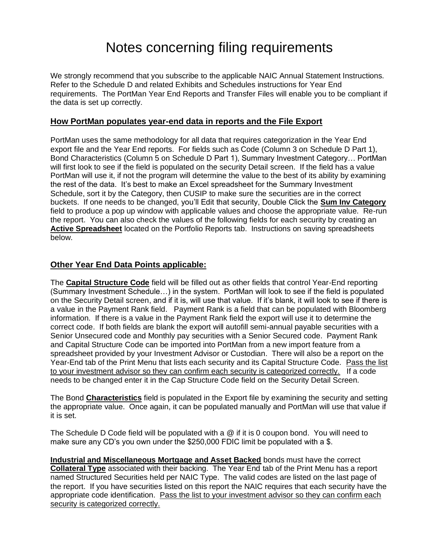# Notes concerning filing requirements

We strongly recommend that you subscribe to the applicable NAIC Annual Statement Instructions. Refer to the Schedule D and related Exhibits and Schedules instructions for Year End requirements. The PortMan Year End Reports and Transfer Files will enable you to be compliant if the data is set up correctly.

#### **How PortMan populates year-end data in reports and the File Export**

PortMan uses the same methodology for all data that requires categorization in the Year End export file and the Year End reports. For fields such as Code (Column 3 on Schedule D Part 1), Bond Characteristics (Column 5 on Schedule D Part 1), Summary Investment Category… PortMan will first look to see if the field is populated on the security Detail screen. If the field has a value PortMan will use it, if not the program will determine the value to the best of its ability by examining the rest of the data. It's best to make an Excel spreadsheet for the Summary Investment Schedule, sort it by the Category, then CUSIP to make sure the securities are in the correct buckets. If one needs to be changed, you'll Edit that security, Double Click the **Sum Inv Category** field to produce a pop up window with applicable values and choose the appropriate value. Re-run the report. You can also check the values of the following fields for each security by creating an **Active Spreadsheet** located on the Portfolio Reports tab. Instructions on saving spreadsheets below.

#### **Other Year End Data Points applicable:**

The **Capital Structure Code** field will be filled out as other fields that control Year-End reporting (Summary Investment Schedule…) in the system. PortMan will look to see if the field is populated on the Security Detail screen, and if it is, will use that value. If it's blank, it will look to see if there is a value in the Payment Rank field. Payment Rank is a field that can be populated with Bloomberg information. If there is a value in the Payment Rank field the export will use it to determine the correct code. If both fields are blank the export will autofill semi-annual payable securities with a Senior Unsecured code and Monthly pay securities with a Senior Secured code. Payment Rank and Capital Structure Code can be imported into PortMan from a new import feature from a spreadsheet provided by your Investment Advisor or Custodian. There will also be a report on the Year-End tab of the Print Menu that lists each security and its Capital Structure Code. Pass the list to your investment advisor so they can confirm each security is categorized correctly. If a code needs to be changed enter it in the Cap Structure Code field on the Security Detail Screen.

The Bond **Characteristics** field is populated in the Export file by examining the security and setting the appropriate value. Once again, it can be populated manually and PortMan will use that value if it is set.

The Schedule D Code field will be populated with a @ if it is 0 coupon bond. You will need to make sure any CD's you own under the \$250,000 FDIC limit be populated with a \$.

**Industrial and Miscellaneous Mortgage and Asset Backed** bonds must have the correct **Collateral Type** associated with their backing. The Year End tab of the Print Menu has a report named Structured Securities held per NAIC Type. The valid codes are listed on the last page of the report. If you have securities listed on this report the NAIC requires that each security have the appropriate code identification. Pass the list to your investment advisor so they can confirm each security is categorized correctly.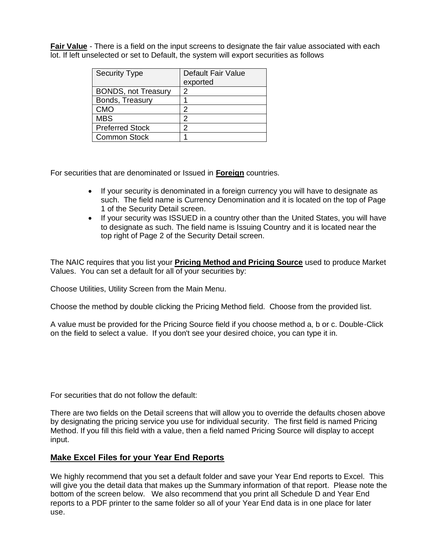**Fair Value** - There is a field on the input screens to designate the fair value associated with each lot. If left unselected or set to Default, the system will export securities as follows

| <b>Security Type</b>       | Default Fair Value<br>exported |
|----------------------------|--------------------------------|
| <b>BONDS, not Treasury</b> | 2                              |
| Bonds, Treasury            |                                |
| <b>CMO</b>                 | 2                              |
| <b>MBS</b>                 | 2                              |
| <b>Preferred Stock</b>     | 2                              |
| <b>Common Stock</b>        |                                |

For securities that are denominated or Issued in **Foreign** countries.

- If your security is denominated in a foreign currency you will have to designate as such. The field name is Currency Denomination and it is located on the top of Page 1 of the Security Detail screen.
- If your security was ISSUED in a country other than the United States, you will have to designate as such. The field name is Issuing Country and it is located near the top right of Page 2 of the Security Detail screen.

The NAIC requires that you list your **Pricing Method and Pricing Source** used to produce Market Values. You can set a default for all of your securities by:

Choose Utilities, Utility Screen from the Main Menu.

Choose the method by double clicking the Pricing Method field. Choose from the provided list.

A value must be provided for the Pricing Source field if you choose method a, b or c. Double-Click on the field to select a value. If you don't see your desired choice, you can type it in.

For securities that do not follow the default:

There are two fields on the Detail screens that will allow you to override the defaults chosen above by designating the pricing service you use for individual security. The first field is named Pricing Method. If you fill this field with a value, then a field named Pricing Source will display to accept input.

#### **Make Excel Files for your Year End Reports**

We highly recommend that you set a default folder and save your Year End reports to Excel. This will give you the detail data that makes up the Summary information of that report. Please note the bottom of the screen below. We also recommend that you print all Schedule D and Year End reports to a PDF printer to the same folder so all of your Year End data is in one place for later use.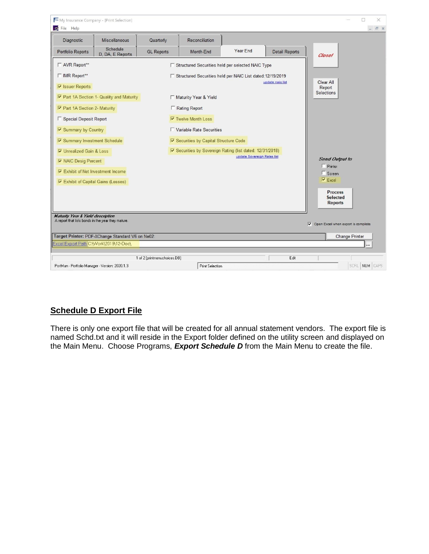| My Insurance Company - [Print Selection]<br>File Help                                   |                                            |                                                              |                             |                       | X<br>п<br>- F ×                              |
|-----------------------------------------------------------------------------------------|--------------------------------------------|--------------------------------------------------------------|-----------------------------|-----------------------|----------------------------------------------|
| Diagnostic<br>Miscellaneous                                                             | Quarterly                                  | Reconciliation                                               |                             |                       |                                              |
| Schedule<br>Portfolio Reports<br>D. DA, E Reports                                       | Year End<br><b>GL Reports</b><br>Month-End |                                                              |                             | <b>Detail Reports</b> | Close!                                       |
| □ AVR Report**                                                                          |                                            | □ Structured Securities held per selected NAIC Type          |                             |                       |                                              |
| □ IMR Report**                                                                          |                                            | □ Structured Securities held per NAIC List dated: 12/19/2019 |                             |                       |                                              |
| <b>▽ Issuer Reports</b>                                                                 |                                            |                                                              |                             | update naic list      | Clear All<br>Report                          |
| <b>▽ Part 1A Section 1- Quality and Maturity</b>                                        |                                            | Maturity Year & Yield                                        | Selections                  |                       |                                              |
| Ⅳ Part 1A Section 2- Maturity                                                           |                                            | □ Rating Report                                              |                             |                       |                                              |
| Special Deposit Report                                                                  |                                            | $\triangledown$ Twelve Month Loss                            |                             |                       |                                              |
| Ⅳ Summary by Country                                                                    |                                            | □ Variable Rate Securities                                   |                             |                       |                                              |
| <b>▽ Summary Investment Schedule</b>                                                    |                                            | <b>▽ Securities by Capital Structure Code</b>                |                             |                       |                                              |
| <b>▽</b> Unrealized Gain & Loss                                                         |                                            | Ⅳ Securities by Sovereign Rating (list dated: 12/31/2018)    |                             |                       |                                              |
| <b>⊽ NAIC Desig Percent</b>                                                             |                                            |                                                              | update Sovereign Rates list |                       | <b>Send Output to</b><br>$\Box$ Printer      |
| $\nabla$ Exhibit of Net Investment Income                                               |                                            | $\Box$ Screen<br>$\overline{\triangledown}$ Excel            |                             |                       |                                              |
| Ⅳ Exhibit of Capital Gains (Losses)                                                     |                                            |                                                              |                             |                       |                                              |
|                                                                                         |                                            |                                                              |                             |                       | <b>Process</b><br>Selected<br><b>Reports</b> |
| Maturity Year & Yield description<br>A report that lists bonds in the year they mature. |                                            |                                                              |                             |                       | Open Excel when export is complete           |
| Target Printer: PDF-XChange Standard V6 on Ne02:                                        |                                            |                                                              |                             |                       | Change Printer                               |
| Excel Export Path C:\Work\2019\12-Dec\                                                  |                                            |                                                              |                             |                       |                                              |
|                                                                                         | 1 of 2 [printmenuchoices.DB]               |                                                              |                             | Edit                  |                                              |
| PortMan - Portfolio Manager - Version: 2020.1.3                                         |                                            | <b>Print Selection</b>                                       |                             |                       | SCRL NUM CAPS                                |

## **Schedule D Export File**

There is only one export file that will be created for all annual statement vendors. The export file is named Schd.txt and it will reside in the Export folder defined on the utility screen and displayed on the Main Menu. Choose Programs, *Export Schedule D* from the Main Menu to create the file.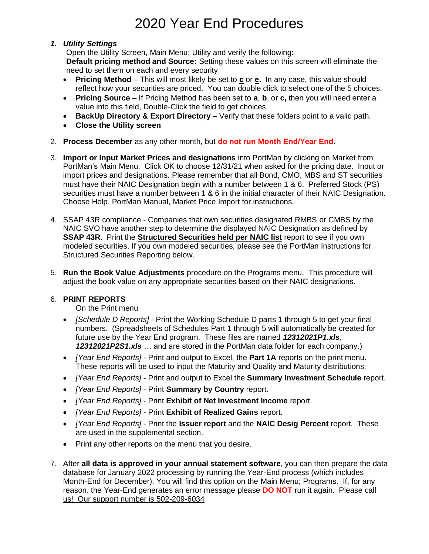# 2020 Year End Procedures

#### *1. Utility Settings*

Open the Utility Screen, Main Menu; Utility and verify the following: **Default pricing method and Source:** Setting these values on this screen will eliminate the need to set them on each and every security

- **Pricing Method** This will most likely be set to **c** or **e.** In any case, this value should reflect how your securities are priced. You can double click to select one of the 5 choices.
- **Pricing Source** If Pricing Method has been set to **a**, **b**, or **c,** then you will need enter a value into this field, Double-Click the field to get choices
- **BackUp Directory & Export Directory –** Verify that these folders point to a valid path.
- **Close the Utility screen**
- 2. **Process December** as any other month, but **do not run Month End/Year End**.
- 3. **Import or Input Market Prices and designations** into PortMan by clicking on Market from PortMan's Main Menu. Click OK to choose 12/31/21 when asked for the pricing date. Input or import prices and designations. Please remember that all Bond, CMO, MBS and ST securities must have their NAIC Designation begin with a number between 1 & 6. Preferred Stock (PS) securities must have a number between 1 & 6 in the initial character of their NAIC Designation. Choose Help, PortMan Manual, Market Price Import for instructions.
- 4. SSAP 43R compliance Companies that own securities designated RMBS or CMBS by the NAIC SVO have another step to determine the displayed NAIC Designation as defined by **SSAP 43R**. Print the **Structured Securities held per NAIC list** report to see if you own modeled securities. If you own modeled securities, please see the PortMan Instructions for Structured Securities Reporting below.
- 5. **Run the Book Value Adjustments** procedure on the Programs menu. This procedure will adjust the book value on any appropriate securities based on their NAIC designations.

#### 6. **PRINT REPORTS**

On the Print menu

- *[Schedule D Reports]* Print the Working Schedule D parts 1 through 5 to get your final numbers. (Spreadsheets of Schedules Part 1 through 5 will automatically be created for future use by the Year End program. These files are named *12312021P1.xls*, *12312021P2S1.xls* … and are stored in the PortMan data folder for each company.)
- *[Year End Reports]* Print and output to Excel, the **Part 1A** reports on the print menu. These reports will be used to input the Maturity and Quality and Maturity distributions.
- *[Year End Reports]* Print and output to Excel the **Summary Investment Schedule** report.
- *[Year End Reports]* Print **Summary by Country** report.
- *[Year End Reports]* Print **Exhibit of Net Investment Income** report.
- *[Year End Reports]* Print **Exhibit of Realized Gains** report.
- *[Year End Reports]* Print the **Issuer report** and the **NAIC Desig Percent** report. These are used in the supplemental section.
- Print any other reports on the menu that you desire.
- 7. After **all data is approved in your annual statement software**, you can then prepare the data database for January 2022 processing by running the Year-End process (which includes Month-End for December). You will find this option on the Main Menu; Programs. If, for any reason, the Year-End generates an error message please **DO NOT** run it again. Please call us! Our support number is 502-209-6034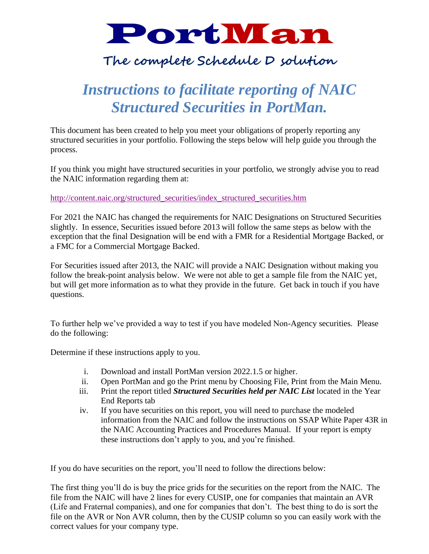# PortMan

# **The complete Schedule D solution**

# *Instructions to facilitate reporting of NAIC Structured Securities in PortMan.*

This document has been created to help you meet your obligations of properly reporting any structured securities in your portfolio. Following the steps below will help guide you through the process.

If you think you might have structured securities in your portfolio, we strongly advise you to read the NAIC information regarding them at:

#### [http://content.naic.org/structured\\_securities/index\\_structured\\_securities.htm](http://content.naic.org/structured_securities/index_structured_securities.htm)

For 2021 the NAIC has changed the requirements for NAIC Designations on Structured Securities slightly. In essence, Securities issued before 2013 will follow the same steps as below with the exception that the final Designation will be end with a FMR for a Residential Mortgage Backed, or a FMC for a Commercial Mortgage Backed.

For Securities issued after 2013, the NAIC will provide a NAIC Designation without making you follow the break-point analysis below. We were not able to get a sample file from the NAIC yet, but will get more information as to what they provide in the future. Get back in touch if you have questions.

To further help we've provided a way to test if you have modeled Non-Agency securities. Please do the following:

Determine if these instructions apply to you.

- i. Download and install PortMan version 2022.1.5 or higher.
- ii. Open PortMan and go the Print menu by Choosing File, Print from the Main Menu.
- iii. Print the report titled *Structured Securities held per NAIC List* located in the Year End Reports tab
- iv. If you have securities on this report, you will need to purchase the modeled information from the NAIC and follow the instructions on SSAP White Paper 43R in the NAIC Accounting Practices and Procedures Manual. If your report is empty these instructions don't apply to you, and you're finished.

If you do have securities on the report, you'll need to follow the directions below:

The first thing you'll do is buy the price grids for the securities on the report from the NAIC. The file from the NAIC will have 2 lines for every CUSIP, one for companies that maintain an AVR (Life and Fraternal companies), and one for companies that don't. The best thing to do is sort the file on the AVR or Non AVR column, then by the CUSIP column so you can easily work with the correct values for your company type.